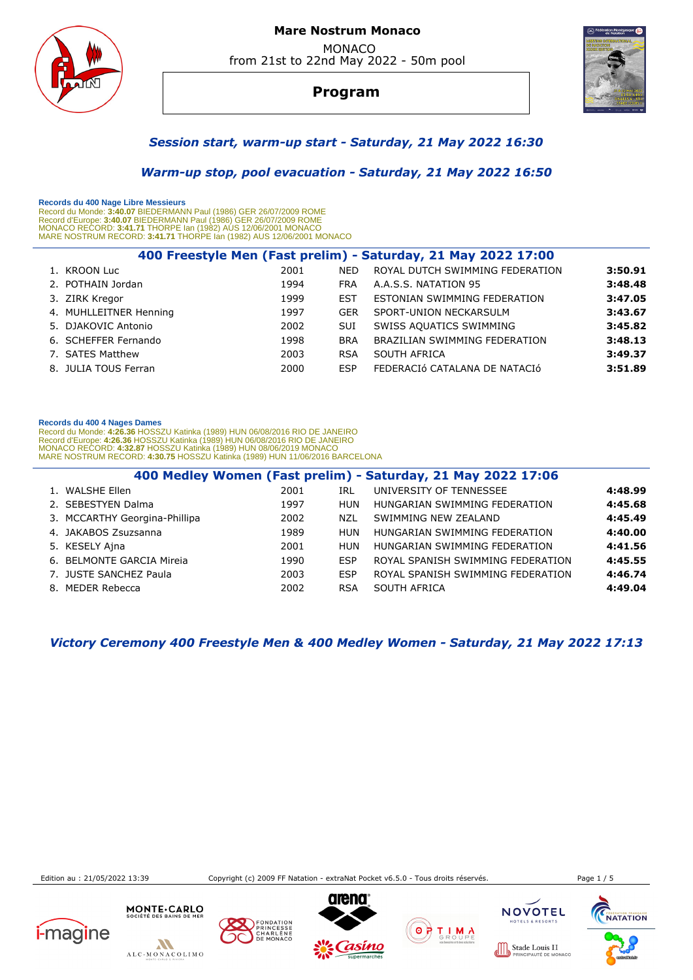

# **Mare Nostrum Monaco**  MONACO

from 21st to 22nd May 2022 - 50m pool

# **Program**



## *Session start, warm-up start - Saturday, 21 May 2022 16:30*

 *Warm-up stop, pool evacuation - Saturday, 21 May 2022 16:50* 

 **Records du 400 Nage Libre Messieurs**  Record du Monde: 3**:40.07** BIEDERMANN Paul (1986) GER 26/07/2009 ROME<br>Record d'Europe: 3**:40.07** BIEDERMANN Paul (1986) GER 26/07/2009 ROME<br>MONACO RECORD: 3**:41.71** THORPE lan (1982) AUS 12/06/2001 MONACO<br>MARE NOSTRUM RECO

| 400 Freestyle Men (Fast prelim) - Saturday, 21 May 2022 17:00 |      |            |                                 |         |  |  |  |
|---------------------------------------------------------------|------|------------|---------------------------------|---------|--|--|--|
| 1. KROON Luc                                                  | 2001 | <b>NED</b> | ROYAL DUTCH SWIMMING FEDERATION | 3:50.91 |  |  |  |
| 2. POTHAIN Jordan                                             | 1994 | <b>FRA</b> | A.A.S.S. NATATION 95            | 3:48.48 |  |  |  |
| 3. ZIRK Kregor                                                | 1999 | <b>EST</b> | ESTONIAN SWIMMING FEDERATION    | 3:47.05 |  |  |  |
| 4. MUHLLEITNER Henning                                        | 1997 | <b>GER</b> | SPORT-UNION NECKARSULM          | 3:43.67 |  |  |  |
| 5. DJAKOVIC Antonio                                           | 2002 | <b>SUI</b> | SWISS AQUATICS SWIMMING         | 3:45.82 |  |  |  |
| 6. SCHEFFER Fernando                                          | 1998 | <b>BRA</b> | BRAZILIAN SWIMMING FEDERATION   | 3:48.13 |  |  |  |
| 7. SATES Matthew                                              | 2003 | <b>RSA</b> | SOUTH AFRICA                    | 3:49.37 |  |  |  |
| 8. JULIA TOUS Ferran                                          | 2000 | <b>FSP</b> | FEDERACIÓ CATALANA DE NATACIÓ   | 3:51.89 |  |  |  |
|                                                               |      |            |                                 |         |  |  |  |

#### **Records du 400 4 Nages Dames**

Record du Monde: 4**:26.36** HOSSZU Katinka (1989) HUN 06/08/2016 RIO DE JANEIRO<br>Record d'Europe: 4**:26.36** HOSSZU Katinka (1989) HUN 06/08/2016 RIO DE JANEIRO<br>MONACO RECORD: 4**:32.87** HOSSZU Katinka (1989) HUN 08/06/2019 MO

|                               |      |            | 400 Medley Women (Fast prelim) - Saturday, 21 May 2022 17:06 |         |
|-------------------------------|------|------------|--------------------------------------------------------------|---------|
| 1. WALSHE Ellen               | 2001 | IRL        | UNIVERSITY OF TENNESSEE                                      | 4:48.99 |
| 2. SEBESTYEN Dalma            | 1997 | HUN        | HUNGARIAN SWIMMING FEDERATION                                | 4:45.68 |
| 3. MCCARTHY Georgina-Phillipa | 2002 | NZL        | SWIMMING NEW ZEALAND                                         | 4:45.49 |
| 4. JAKABOS Zsuzsanna          | 1989 | HUN        | HUNGARIAN SWIMMING FEDERATION                                | 4:40.00 |
| 5. KESELY Aina                | 2001 | HUN        | HUNGARIAN SWIMMING FEDERATION                                | 4:41.56 |
| 6. BELMONTE GARCIA Mireia     | 1990 | <b>ESP</b> | ROYAL SPANISH SWIMMING FEDERATION                            | 4:45.55 |
| 7. JUSTE SANCHEZ Paula        | 2003 | <b>ESP</b> | ROYAL SPANISH SWIMMING FEDERATION                            | 4:46.74 |
| 8. MEDER Rebecca              | 2002 | <b>RSA</b> | SOUTH AFRICA                                                 | 4:49.04 |

 *Victory Ceremony 400 Freestyle Men & 400 Medley Women - Saturday, 21 May 2022 17:13* 

Edition au : 21/05/2022 13:39 Copyright (c) 2009 FF Natation - extraNat Pocket v6.5.0 - Tous droits réservés. Page 1 / 5

 $0000$ 



 $\boldsymbol{M}$ ALC-MONACOLIMO

MONTE . CARLO







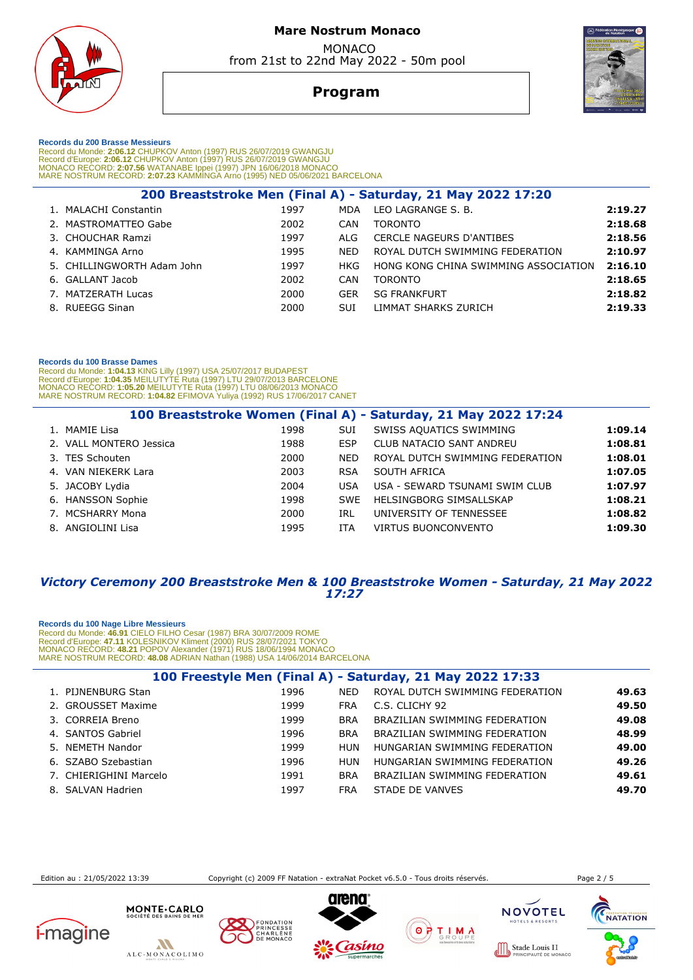

# **Program**



 **Records du 200 Brasse Messieurs** 

Record du Monde: 2**:06.12** CHUPKOV Anton (1997) RUS 26/07/2019 GWANGJU<br>Record d'Europe: 2**:06.12** CHUPKOV Anton (1997) RUS 26/07/2019 GWANGJU<br>MONACO RECORD: **2:07.56** WATANABE Ippei (1997) JPN 16/06/2018 MONACO<br>MARE NOSTRU

|                            |      |            | 200 Breaststroke Men (Final A) - Saturday, 21 May 2022 17:20 |         |
|----------------------------|------|------------|--------------------------------------------------------------|---------|
| 1. MALACHI Constantin      | 1997 | MDA        | LEO LAGRANGE S. B.                                           | 2:19.27 |
| 2. MASTROMATTEO Gabe       | 2002 | <b>CAN</b> | <b>TORONTO</b>                                               | 2:18.68 |
| 3. CHOUCHAR Ramzi          | 1997 | ALG.       | <b>CERCLE NAGEURS D'ANTIBES</b>                              | 2:18.56 |
| 4. KAMMINGA Arno           | 1995 | <b>NED</b> | ROYAL DUTCH SWIMMING FEDERATION                              | 2:10.97 |
| 5. CHILLINGWORTH Adam John | 1997 | HKG        | HONG KONG CHINA SWIMMING ASSOCIATION                         | 2:16.10 |
| 6. GALLANT Jacob           | 2002 | CAN        | <b>TORONTO</b>                                               | 2:18.65 |
| 7. MATZERATH Lucas         | 2000 | <b>GER</b> | <b>SG FRANKFURT</b>                                          | 2:18.82 |
| 8. RUEEGG Sinan            | 2000 | SUI        | LIMMAT SHARKS ZURICH                                         | 2:19.33 |
|                            |      |            |                                                              |         |

### **Records du 100 Brasse Dames**

Record du Monde: 1**:04.13** KING Lilly (1997) USA 25/07/2017 BUDAPEST<br>Record d'Europe: 1:**04.35 MEILUTYTE Ruta (1**997) LTU 29/07/2013 BARCELONE<br>MONACO RECORD: 1**:05.20** MEILUTYTE Ruta (1997) LTU 08/06/2013 MONACO<br>MARE NOSTR

|                         |      |            | 100 Breaststroke Women (Final A) - Saturday, 21 May 2022 17:24 |         |
|-------------------------|------|------------|----------------------------------------------------------------|---------|
| 1. MAMIE Lisa           | 1998 | SUI        | SWISS AQUATICS SWIMMING                                        | 1:09.14 |
| 2. VALL MONTERO Jessica | 1988 | <b>ESP</b> | <b>CLUB NATACIO SANT ANDREU</b>                                | 1:08.81 |
| 3. TES Schouten         | 2000 | <b>NED</b> | ROYAL DUTCH SWIMMING FEDERATION                                | 1:08.01 |
| 4. VAN NIEKERK Lara     | 2003 | <b>RSA</b> | SOUTH AFRICA                                                   | 1:07.05 |
| 5. JACOBY Lydia         | 2004 | <b>USA</b> | USA - SEWARD TSUNAMI SWIM CLUB                                 | 1:07.97 |
| 6. HANSSON Sophie       | 1998 | <b>SWE</b> | HELSINGBORG SIMSALLSKAP                                        | 1:08.21 |
| 7. MCSHARRY Mona        | 2000 | IRL        | UNIVERSITY OF TENNESSEE                                        | 1:08.82 |
| 8. ANGIOLINI Lisa       | 1995 | ITA        | <b>VIRTUS BUONCONVENTO</b>                                     | 1:09.30 |

### *Victory Ceremony 200 Breaststroke Men & 100 Breaststroke Women - Saturday, 21 May 2022 17:27*

### **Records du 100 Nage Libre Messieurs**

Record du Monde: 46.91 CIELO FILHO Cesar (1987) BRA 30/07/2009 ROME<br>Record d'Europe: 47.11 KOLESNIKOV Kliment (2000) RUS 28/07/2021 TOKYO<br>MONACO RECORD: 48.21 POPOV Alexander (1971) RUS 18/06/1994 MONACO<br>MARE NOSTRUM RECOR

| 100 Freestyle Men (Final A) - Saturday, 21 May 2022 17:33 |      |            |                                 |       |  |  |  |
|-----------------------------------------------------------|------|------------|---------------------------------|-------|--|--|--|
| 1. PIJNENBURG Stan                                        | 1996 | <b>NED</b> | ROYAL DUTCH SWIMMING FEDERATION | 49.63 |  |  |  |
| 2. GROUSSET Maxime                                        | 1999 | <b>FRA</b> | C.S. CLICHY 92                  | 49.50 |  |  |  |
| 3. CORREIA Breno                                          | 1999 | <b>BRA</b> | BRAZILIAN SWIMMING FEDERATION   | 49.08 |  |  |  |
| 4. SANTOS Gabriel                                         | 1996 | <b>BRA</b> | BRAZILIAN SWIMMING FEDERATION   | 48.99 |  |  |  |
| 5. NEMETH Nandor                                          | 1999 | HUN        | HUNGARIAN SWIMMING FEDERATION   | 49.00 |  |  |  |
| 6. SZABO Szebastian                                       | 1996 | <b>HUN</b> | HUNGARIAN SWIMMING FEDERATION   | 49.26 |  |  |  |
| 7. CHIERIGHINI Marcelo                                    | 1991 | <b>BRA</b> | BRAZILIAN SWIMMING FEDERATION   | 49.61 |  |  |  |
| 8. SALVAN Hadrien                                         | 1997 | <b>FRA</b> | STADE DE VANVES                 | 49.70 |  |  |  |

Edition au : 21/05/2022 13:39 Copyright (c) 2009 FF Natation - extraNat Pocket v6.5.0 - Tous droits réservés. Page 2 / 5

**NACC** 











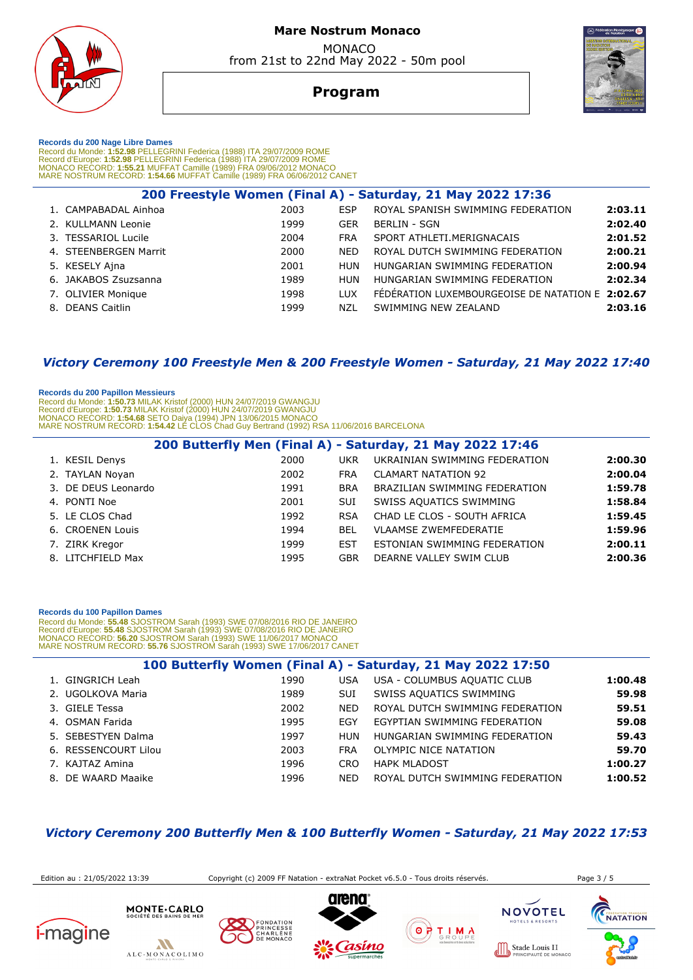

# **Program**



 **Records du 200 Nage Libre Dames** 

Record du Monde: 1**:52.98** PELLEGRINI Federica (1988) ITA 29/07/2009 ROME<br>Record d'Europe: 1**:52.98** PELLEGRINI Federica (1988) ITA 29/07/2009 ROME<br>MONACO RECORD: 1**:55.21 MUFFAT Camille (1989) FRA 09/06/2012 MONACO**<br>MARE

| 200 Freestyle Women (Final A) - Saturday, 21 May 2022 17:36 |      |            |                                                  |         |  |  |  |
|-------------------------------------------------------------|------|------------|--------------------------------------------------|---------|--|--|--|
| 1. CAMPABADAL Ainhoa                                        | 2003 | ESP        | ROYAL SPANISH SWIMMING FEDERATION                | 2:03.11 |  |  |  |
| 2. KULLMANN Leonie                                          | 1999 | <b>GER</b> | <b>BERLIN - SGN</b>                              | 2:02.40 |  |  |  |
| 3. TESSARIOL Lucile                                         | 2004 | <b>FRA</b> | SPORT ATHLETI.MERIGNACAIS                        | 2:01.52 |  |  |  |
| 4. STEENBERGEN Marrit                                       | 2000 | <b>NED</b> | ROYAL DUTCH SWIMMING FEDERATION                  | 2:00.21 |  |  |  |
| 5. KESELY Ajna                                              | 2001 | HUN        | HUNGARIAN SWIMMING FEDERATION                    | 2:00.94 |  |  |  |
| 6. JAKABOS Zsuzsanna                                        | 1989 | HUN        | HUNGARIAN SWIMMING FEDERATION                    | 2:02.34 |  |  |  |
| 7. OLIVIER Monique                                          | 1998 | <b>LUX</b> | FEDERATION LUXEMBOURGEOISE DE NATATION E 2:02.67 |         |  |  |  |
| 8. DEANS Caitlin                                            | 1999 | NZL        | SWIMMING NEW ZEALAND                             | 2:03.16 |  |  |  |
|                                                             |      |            |                                                  |         |  |  |  |

## *Victory Ceremony 100 Freestyle Men & 200 Freestyle Women - Saturday, 21 May 2022 17:40*

### **Records du 200 Papillon Messieurs**

 Record du Monde: **1:50.73** MILAK Kristof (2000) HUN 24/07/2019 GWANGJU Record d'Europe: **1:50.73** MILAK Kristof (2000) HUN 24/07/2019 GWANGJU MONACO RECORD: **1:54.68** SETO Daiya (1994) JPN 13/06/2015 MONACO MARE NOSTRUM RECORD: **1:54.42** LE CLOS Chad Guy Bertrand (1992) RSA 11/06/2016 BARCELONA

|                     |      |            | 200 Butterfly Men (Final A) - Saturday, 21 May 2022 17:46 |         |
|---------------------|------|------------|-----------------------------------------------------------|---------|
| 1. KESIL Denys      | 2000 | <b>UKR</b> | UKRAINIAN SWIMMING FEDERATION                             | 2:00.30 |
| 2. TAYLAN Noyan     | 2002 | <b>FRA</b> | <b>CLAMART NATATION 92</b>                                | 2:00.04 |
| 3. DE DEUS Leonardo | 1991 | <b>BRA</b> | BRAZILIAN SWIMMING FEDERATION                             | 1:59.78 |
| 4. PONTI Noe        | 2001 | <b>SUI</b> | SWISS AQUATICS SWIMMING                                   | 1:58.84 |
| 5. LE CLOS Chad     | 1992 | <b>RSA</b> | CHAD LE CLOS - SOUTH AFRICA                               | 1:59.45 |
| 6. CROENEN Louis    | 1994 | <b>BEL</b> | <b>VLAAMSE ZWEMFEDERATIE</b>                              | 1:59.96 |
| 7. ZIRK Kregor      | 1999 | <b>EST</b> | ESTONIAN SWIMMING FEDERATION                              | 2:00.11 |
| 8. LITCHFIELD Max   | 1995 | GBR        | DEARNE VALLEY SWIM CLUB                                   | 2:00.36 |

#### **Records du 100 Papillon Dames**

Record du Monde: 55.48 SJOSTROM Sarah (1993) SWE 07/08/2016 RIO DE JANEIRO<br>Record d'Europe: 55.48 SJOSTROM Sarah (1993) SWE 07/08/2016 RIO DE JANEIRO<br>MONACO RECORD: 56.20 SJOSTROM Sarah (1993) SWE 11/06/2017 MONACO MARE NOSTRUM RECORD: **55.76** SJOSTROM Sarah (1993) SWE 17/06/2017 CANET

| 100 Butterfly Women (Final A) - Saturday, 21 May 2022 17:50 |      |            |                                 |         |  |  |
|-------------------------------------------------------------|------|------------|---------------------------------|---------|--|--|
| 1. GINGRICH Leah                                            | 1990 | <b>USA</b> | USA - COLUMBUS AQUATIC CLUB     | 1:00.48 |  |  |
| 2. UGOLKOVA Maria                                           | 1989 | <b>SUI</b> | SWISS AQUATICS SWIMMING         | 59.98   |  |  |
| 3. GIELE Tessa                                              | 2002 | <b>NED</b> | ROYAL DUTCH SWIMMING FEDERATION | 59.51   |  |  |
| 4. OSMAN Farida                                             | 1995 | <b>EGY</b> | EGYPTIAN SWIMMING FEDERATION    | 59.08   |  |  |
| 5. SEBESTYEN Dalma                                          | 1997 | HUN        | HUNGARIAN SWIMMING FEDERATION   | 59.43   |  |  |
| 6. RESSENCOURT Lilou                                        | 2003 | <b>FRA</b> | OLYMPIC NICE NATATION           | 59.70   |  |  |
| 7. KAJTAZ Amina                                             | 1996 | <b>CRO</b> | <b>HAPK MLADOST</b>             | 1:00.27 |  |  |
| 8. DE WAARD Maaike                                          | 1996 | NFD.       | ROYAL DUTCH SWIMMING FEDERATION | 1:00.52 |  |  |

## *Victory Ceremony 200 Butterfly Men & 100 Butterfly Women - Saturday, 21 May 2022 17:53*

Edition au : 21/05/2022 13:39 Copyright (c) 2009 FF Natation - extraNat Pocket v6.5.0 - Tous droits réservés. Page 3 / 5





MONTE.CARLO







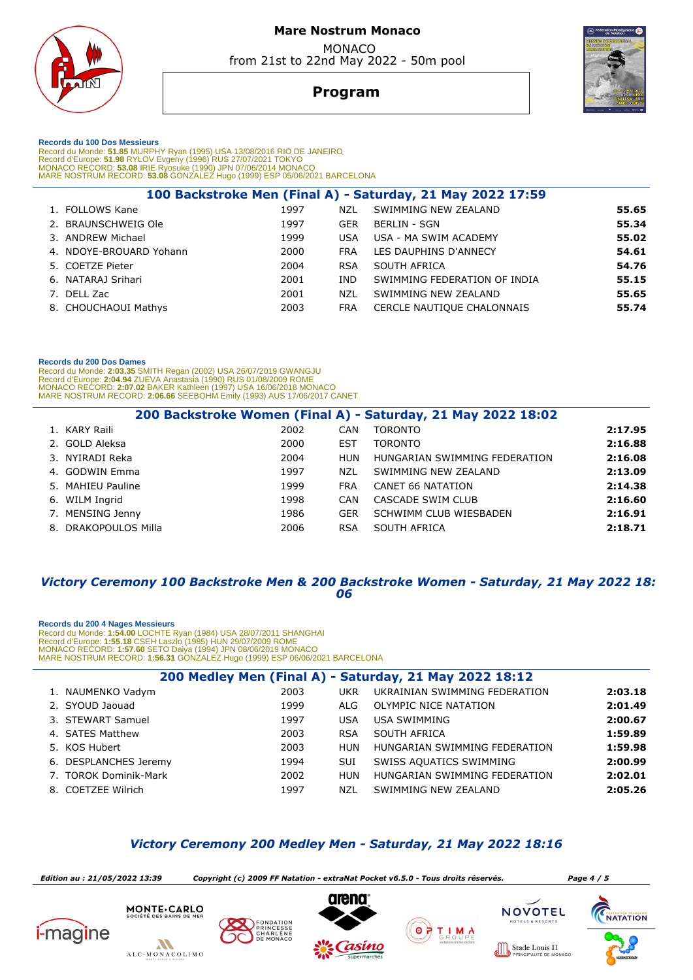

# **Program**



 **Records du 100 Dos Messieurs** 

Record du Monde: **51.85** MURPHY Ryan (1995) USA 13/08/2016 RIO DE JANEIRO<br>Record d'Europe: **51.98** RYLOV Evgeny (1996) RUS 27/07/2021 TOKYO<br>MONACO RECORD: **53.08** IRIE Ryosuke (1990) JPN 07/06/2014 MONACO<br>MARE NOSTRUM RECO

|                         |      |            | 100 Backstroke Men (Final A) - Saturday, 21 May 2022 17:59 |       |
|-------------------------|------|------------|------------------------------------------------------------|-------|
| 1. FOLLOWS Kane         | 1997 | NZL        | SWIMMING NEW ZEALAND                                       | 55.65 |
| 2. BRAUNSCHWEIG Ole     | 1997 | GER        | BERLIN - SGN                                               | 55.34 |
| 3. ANDREW Michael       | 1999 | <b>USA</b> | USA - MA SWIM ACADEMY                                      | 55.02 |
| 4. NDOYE-BROUARD Yohann | 2000 | <b>FRA</b> | LES DAUPHINS D'ANNECY                                      | 54.61 |
| 5. COETZE Pieter        | 2004 | <b>RSA</b> | SOUTH AFRICA                                               | 54.76 |
| 6. NATARAJ Srihari      | 2001 | IND.       | SWIMMING FEDERATION OF INDIA                               | 55.15 |
| 7. DELL Zac             | 2001 | <b>NZL</b> | SWIMMING NEW ZEALAND                                       | 55.65 |
| 8. CHOUCHAOUI Mathys    | 2003 | <b>FRA</b> | CERCLE NAUTIQUE CHALONNAIS                                 | 55.74 |
|                         |      |            |                                                            |       |

### **Records du 200 Dos Dames**

Record du Monde: **2:03.35** SMITH Regan (2002) USA 26/07/2019 GWANGJU<br>Record d'Europe: 2**:04.94 ZUEVA Anastasia (1990) RUS** 01/08/2009 ROME<br>MONACO RECORD: **2:07.02** BAKER Kathleen (1997) USA 16/06/2018 MONACO<br>MARE NOSTRUM R

|                      |      |            | 200 Backstroke Women (Final A) - Saturday, 21 May 2022 18:02 |         |
|----------------------|------|------------|--------------------------------------------------------------|---------|
| 1. KARY Raili        | 2002 | CAN        | <b>TORONTO</b>                                               | 2:17.95 |
| 2. GOLD Aleksa       | 2000 | EST        | <b>TORONTO</b>                                               | 2:16.88 |
| 3. NYIRADI Reka      | 2004 | HUN        | HUNGARIAN SWIMMING FEDERATION                                | 2:16.08 |
| 4. GODWIN Emma       | 1997 | <b>NZL</b> | SWIMMING NEW ZEALAND                                         | 2:13.09 |
| 5. MAHIEU Pauline    | 1999 | <b>FRA</b> | CANET 66 NATATION                                            | 2:14.38 |
| 6. WILM Ingrid       | 1998 | <b>CAN</b> | CASCADE SWIM CLUB                                            | 2:16.60 |
| 7. MENSING Jenny     | 1986 | <b>GER</b> | SCHWIMM CLUB WIESBADEN                                       | 2:16.91 |
| 8. DRAKOPOULOS Milla | 2006 | <b>RSA</b> | SOUTH AFRICA                                                 | 2:18.71 |

### *Victory Ceremony 100 Backstroke Men & 200 Backstroke Women - Saturday, 21 May 2022 18: 06*

#### **Records du 200 4 Nages Messieurs**

Record du Monde: **1:54.00** LOCHTE Ryan (1984) USA 28/07/2011 SHANGHAI<br>Record d'Europe: **1:55.18** CSEH Laszlo (1985) HUN 29/07/2009 ROME<br>MONACO RECORD: 1**:57.60 SETO Daiya (1994) JPN 08/06/2019 MONACO<br>MARE NOSTRUM RECORD: 1** 

| 200 Medley Men (Final A) - Saturday, 21 May 2022 18:12 |      |            |                               |         |  |  |
|--------------------------------------------------------|------|------------|-------------------------------|---------|--|--|
| 1. NAUMENKO Vadym                                      | 2003 | <b>UKR</b> | UKRAINIAN SWIMMING FEDERATION | 2:03.18 |  |  |
| 2. SYOUD Jaouad                                        | 1999 | ALG.       | OLYMPIC NICE NATATION         | 2:01.49 |  |  |
| 3. STEWART Samuel                                      | 1997 | <b>USA</b> | <b>USA SWIMMING</b>           | 2:00.67 |  |  |
| 4. SATES Matthew                                       | 2003 | <b>RSA</b> | SOUTH AFRICA                  | 1:59.89 |  |  |
| 5. KOS Hubert                                          | 2003 | <b>HUN</b> | HUNGARIAN SWIMMING FEDERATION | 1:59.98 |  |  |
| 6. DESPLANCHES Jeremy                                  | 1994 | <b>SUI</b> | SWISS AQUATICS SWIMMING       | 2:00.99 |  |  |
| 7. TOROK Dominik-Mark                                  | 2002 | <b>HUN</b> | HUNGARIAN SWIMMING FEDERATION | 2:02.01 |  |  |
| 8. COETZEE Wilrich                                     | 1997 | NZL        | SWIMMING NEW ZEALAND          | 2:05.26 |  |  |

## *Victory Ceremony 200 Medley Men - Saturday, 21 May 2022 18:16*